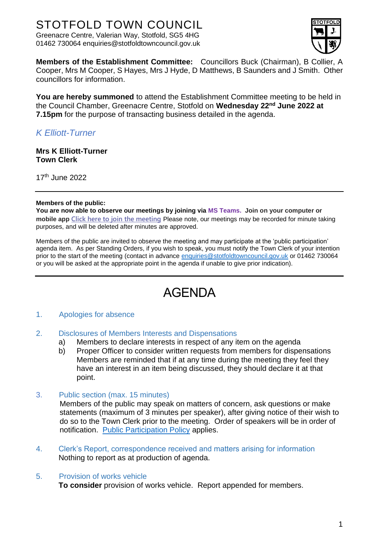# STOTFOLD TOWN COUNCIL

Greenacre Centre, Valerian Way, Stotfold, SG5 4HG 01462 730064 enquiries@stotfoldtowncouncil.gov.uk



**Members of the Establishment Committee:** Councillors Buck (Chairman), B Collier, A Cooper, Mrs M Cooper, S Hayes, Mrs J Hyde, D Matthews, B Saunders and J Smith. Other councillors for information.

**You are hereby summoned** to attend the Establishment Committee meeting to be held in the Council Chamber, Greenacre Centre, Stotfold on **Wednesday 22 nd June 2022 at 7.15pm** for the purpose of transacting business detailed in the agenda.

# *K Elliott-Turner*

**Mrs K Elliott-Turner Town Clerk**

17th June 2022

#### **Members of the public:**

**You are now able to observe our meetings by joining via MS Teams. Join on your computer or mobile app [Click here to join the meeting](https://teams.microsoft.com/l/meetup-join/19%3ameeting_MWMzY2JiYTItNTM5Yi00MWRlLWI3YTYtMzg1MjJjNTZjYjQ0%40thread.v2/0?context=%7b%22Tid%22%3a%22c8e6c286-9a16-4a60-bf04-466025d62773%22%2c%22Oid%22%3a%22ed2f2627-61b9-4395-8cb9-d432c543d4ef%22%7d)** Please note, our meetings may be recorded for minute taking purposes, and will be deleted after minutes are approved.

Members of the public are invited to observe the meeting and may participate at the 'public participation' agenda item. As per Standing Orders, if you wish to speak, you must notify the Town Clerk of your intention prior to the start of the meeting (contact in advance [enquiries@stotfoldtowncouncil.gov.uk](mailto:enquiries@stotfoldtowncouncil.gov.uk) or 01462 730064 or you will be asked at the appropriate point in the agenda if unable to give prior indication).

# AGENDA

# 1. Apologies for absence

# 2. Disclosures of Members Interests and Dispensations

- a) Members to declare interests in respect of any item on the agenda
- b) Proper Officer to consider written requests from members for dispensations Members are reminded that if at any time during the meeting they feel they have an interest in an item being discussed, they should declare it at that point.
- 3. Public section (max. 15 minutes)

Members of the public may speak on matters of concern, ask questions or make statements (maximum of 3 minutes per speaker), after giving notice of their wish to do so to the Town Clerk prior to the meeting. Order of speakers will be in order of notification. [Public Participation Policy](http://www.stotfoldtowncouncil.gov.uk/_UserFiles/Files/Council/PUBLIC%20PARTICIPATION.pdf) applies.

4. Clerk's Report, correspondence received and matters arising for information Nothing to report as at production of agenda.

# 5. Provision of works vehicle

**To consider** provision of works vehicle. Report appended for members.